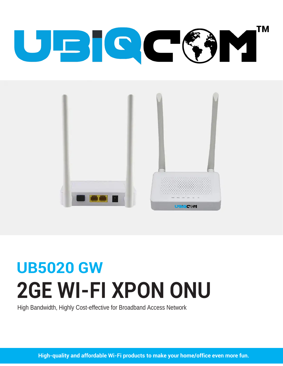# **TM** UEICCC3Y



# **UB5020 GW 2GE WI-FI XPON ONU**

High Bandwidth, Highly Cost-effective for Broadband Access Network

High-quality and affordable Wi-Fi products to make your home/office even more fun.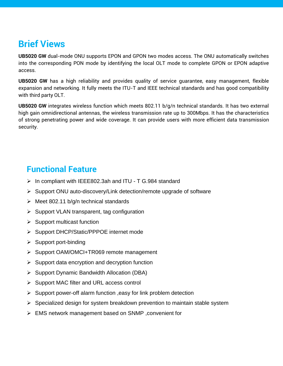# **Brief Views**

**UB5020 GW** dual-mode ONU supports EPON and GPON two modes access. The ONU automatically switches into the corresponding PON mode by identifying the local OLT mode to complete GPON or EPON adaptive access.

**UB5020 GW** has a high reliability and provides quality of service guarantee, easy management, flexible expansion and networking. It fully meets the ITU-T and IEEE technical standards and has good compatibility with third party OLT.

**UB5020 GW** integrates wireless function which meets 802.11 b/g/n technical standards. It has two external high gain omnidirectional antennas, the wireless transmission rate up to 300Mbps. It has the characteristics of strong penetrating power and wide coverage. It can provide users with more efficient data transmission security.

### **Functional Feature**

- $\triangleright$  In compliant with IEEE802.3ah and ITU T G.984 standard
- $\triangleright$  Support ONU auto-discovery/Link detection/remote upgrade of software
- $\triangleright$  Meet 802.11 b/g/n technical standards
- $\triangleright$  Support VLAN transparent, tag configuration
- $\triangleright$  Support multicast function
- Support DHCP/Static/PPPOE internet mode
- $\triangleright$  Support port-binding
- ▶ Support OAM/OMCI+TR069 remote management
- $\triangleright$  Support data encryption and decryption function
- $\triangleright$  Support Dynamic Bandwidth Allocation (DBA)
- $\triangleright$  Support MAC filter and URL access control
- $\triangleright$  Support power-off alarm function , easy for link problem detection
- $\triangleright$  Specialized design for system breakdown prevention to maintain stable system
- EMS network management based on SNMP ,convenient for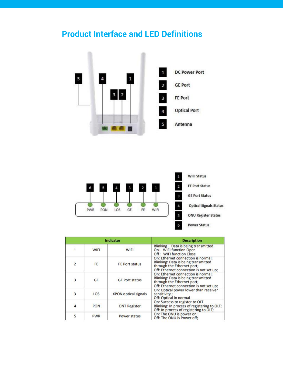## **Product Interface and LED Definitions**





| <b>Indicator</b> |            |                             | <b>Description</b>                                                                                                                                 |
|------------------|------------|-----------------------------|----------------------------------------------------------------------------------------------------------------------------------------------------|
|                  | WIFI       | WIFI                        | Blinking: Data is being transmitted<br>On: WIFI function Open<br>Off: WIFI function Close                                                          |
| $\overline{2}$   | FE.        | <b>FE Port status</b>       | On: Ethernet connection is normal:<br>Blinking: Data is being transmitted<br>through the Ethernet port;<br>Off: Ethernet connection is not set up; |
| $\overline{3}$   | GE         | <b>GE Port status</b>       | On: Ethernet connection is normal:<br>Blinking: Data is being transmitted<br>through the Ethernet port;<br>Off: Ethernet connection is not set up; |
| $\overline{3}$   | LOS        | <b>XPON optical signals</b> | On: Optical power lower than receiver<br>sensitivity :<br>Off: Optical in normal                                                                   |
| $\overline{4}$   | <b>PON</b> | <b>ONT Register</b>         | On: Success to register to OLT<br>Blinking: In process of registering to OLT;<br>Off: In process of registering to OLT;                            |
| 5                | <b>PWR</b> | Power status                | On: The ONU is power on;<br>Off: The ONU is Power off:                                                                                             |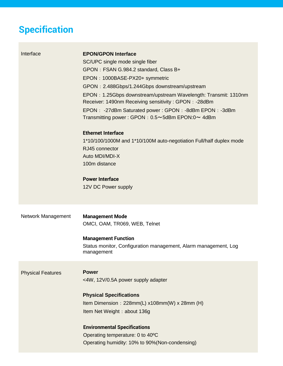# **Specification**

| Interface                | <b>EPON/GPON Interface</b><br>SC/UPC single mode single fiber<br>GPON: FSAN G.984.2 standard, Class B+<br>EPON: 1000BASE-PX20+ symmetric<br>GPON: 2.488Gbps/1.244Gbps downstream/upstream<br>EPON: 1.25Gbps downstream/upstream Wavelength: Transmit: 1310nm<br>Receiver: 1490nm Receiving sensitivity: GPON: -28dBm<br>EPON: -27dBm Saturated power: GPON: -8dBm EPON: -3dBm<br>Transmitting power: GPON: 0.5~5dBm EPON:0~ 4dBm |  |
|--------------------------|----------------------------------------------------------------------------------------------------------------------------------------------------------------------------------------------------------------------------------------------------------------------------------------------------------------------------------------------------------------------------------------------------------------------------------|--|
|                          | <b>Ethernet Interface</b><br>1*10/100/1000M and 1*10/100M auto-negotiation Full/half duplex mode<br>RJ45 connector<br>Auto MDI/MDI-X<br>100m distance                                                                                                                                                                                                                                                                            |  |
|                          | <b>Power Interface</b><br>12V DC Power supply                                                                                                                                                                                                                                                                                                                                                                                    |  |
| Network Management       | <b>Management Mode</b><br>OMCI, OAM, TR069, WEB, Telnet<br><b>Management Function</b><br>Status monitor, Configuration management, Alarm management, Log<br>management                                                                                                                                                                                                                                                           |  |
| <b>Physical Features</b> | <b>Power</b><br><4W, 12V/0.5A power supply adapter<br><b>Physical Specifications</b><br>Item Dimension: $228mm(L) x108mm(W) x 28mm(H)$<br>Item Net Weight: about 136g<br><b>Environmental Specifications</b><br>Operating temperature: 0 to 40°C<br>Operating humidity: 10% to 90%(Non-condensing)                                                                                                                               |  |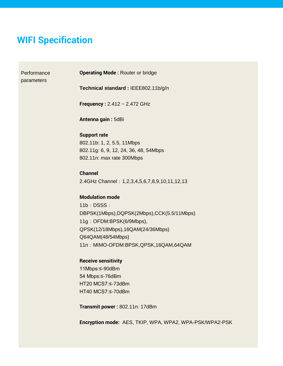### **WIFI Specification**

**Performance** parameters

**Operating Mode :** Router or bridge

**Technical standard :** IEEE802.11b/g/n

**Frequency :** 2.412 ~ 2.472 GHz

**Antenna gain :** 5dBi

#### **Support rate**

802.11b: 1, 2, 5.5, 11Mbps 802.11g: 6, 9, 12, 24, 36, 48, 54Mbps 802.11n: max rate 300Mbps

#### **Channel**

2.4GHz Channel:1,2,3,4,5,6,7,8,9,10,11,12,13

#### **Modulation mode**

11b:DSSS: DBPSK(1Mbps),DQPSK(2Mbps),CCK(5.5/11Mbps) 11g: OFDM:BPSK(6/9Mbps), QPSK(12/18Mbps),16QAM(24/36Mbps) Q64QAM(48/54Mbps) 11n: MIMO-OFDM:BPSK, QPSK, 16QAM, 64QAM

#### **Receive sensitivity**

11Mbps:≤-90dBm 54 Mbps:≤-76dBm HT20 MCS7:≤-73dBm HT40 MCS7:≤-70dBm

**Transmit power :** 802.11n: 17dBm

**Encryption mode:** AES, TKIP, WPA, WPA2, WPA-PSK/WPA2-PSK